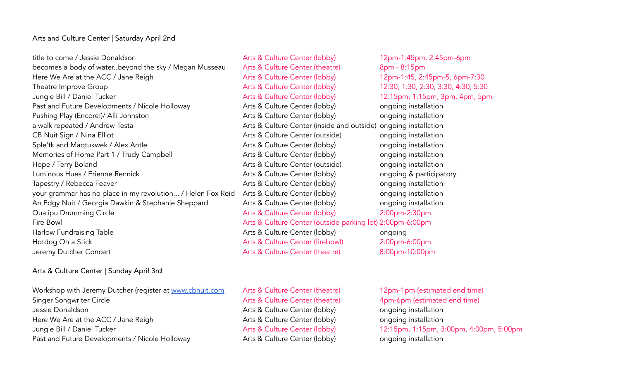## Arts and Culture Center | Saturday April 2nd

title to come / Jessie Donaldson **Arts & Culture Center (lobby)** 12pm-1:45pm, 2:45pm-6pm becomes a body of water..beyond the sky / Megan Musseau Arts & Culture Center (theatre) 8pm - 8:15pm Here We Are at the ACC / Jane Reigh Arts & Culture Center (lobby) 12pm-1:45, 2:45pm-5, 6pm-7:30 Theatre Improve Group **Arts & Culture Center (lobby)** 12:30, 1:30, 2:30, 3:30, 4:30, 5:30 Jungle Bill / Daniel Tucker **Arts & Culture Center (lobby)** 12:15pm, 1:15pm, 3pm, 4pm, 5pm Past and Future Developments / Nicole Holloway **Arts & Culture Center (lobby)** ongoing installation Pushing Play (Encore!)/ Alli Johnston **Arts & Culture Center (lobby)** ongoing installation a walk repeated / Andrew Testa Arts & Culture Center (inside and outside) ongoing installation CB Nuit Sign / Nina Elliot CB Nuit Sign / Nina Elliot Arts & Culture Center (outside) ongoing installation Sple'tk and Magtukwek / Alex Antle Arts & Culture Center (lobby) ongoing installation Memories of Home Part 1 / Trudy Campbell **Arts & Culture Center (lobby)** ongoing installation Hope / Terry Boland **Arts & Culture Center (outside)** ongoing installation Luminous Hues / Erienne Rennick **Arts & Culture Center (lobby)** ongoing & participatory Tapestry / Rebecca Feaver **Arts & Culture Center (lobby)** ongoing installation your grammar has no place in my revolution... / Helen Fox Reid Arts & Culture Center (lobby) ongoing installation An Edgy Nuit / Georgia Dawkin & Stephanie Sheppard Arts & Culture Center (lobby) ongoing installation Qualipu Drumming Circle Arts & Culture Center (lobby) 2:00pm-2:30pm Fire Bowl Arts & Culture Center (outside parking lot) 2:00pm-6:00pm Harlow Fundraising Table **Arts & Culture Center (lobby)** ongoing Hotdog On a Stick **Arts & Culture Center (firebowl)** 2:00pm-6:00pm Jeremy Dutcher Concert Arts & Culture Center (theatre) 8:00pm-10:00pm

## Arts & Culture Center | Sunday April 3rd

Workshop with Jeremy Dutcher (register at www.cbnuit.com Arts & Culture Center (theatre) 12pm-1pm (estimated end time) Singer Songwriter Circle **Arts & Culture Center (theatre)** 4pm-6pm (estimated end time) Jessie Donaldson **Arts & Culture Center (lobby)** ongoing installation Here We Are at the ACC / Jane Reigh Arts & Culture Center (lobby) ongoing installation Jungle Bill / Daniel Tucker **Arts & Culture Center (lobby)** 12:15pm, 1:15pm, 3:00pm, 4:00pm, 5:00pm Past and Future Developments / Nicole Holloway **Arts & Culture Center (lobby)** ongoing installation